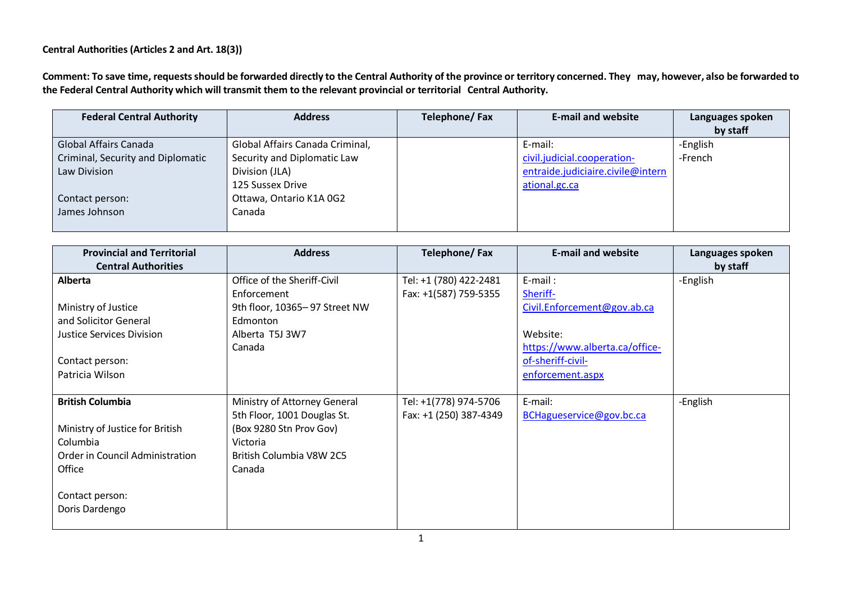## **Central Authorities (Articles 2 and Art. 18(3))**

Comment: To save time, requests should be forwarded directly to the Central Authority of the province or territory concerned. They may, however, also be forwarded to **the Federal Central Authority which will transmit them to the relevant provincial or territorial Central Authority.**

| <b>Federal Central Authority</b>  | <b>Address</b>                  | Telephone/Fax | <b>E-mail and website</b>         | Languages spoken<br>by staff |
|-----------------------------------|---------------------------------|---------------|-----------------------------------|------------------------------|
| Global Affairs Canada             | Global Affairs Canada Criminal, |               | E-mail:                           | -English                     |
| Criminal, Security and Diplomatic | Security and Diplomatic Law     |               | civil.judicial.cooperation-       | -French                      |
| Law Division                      | Division (JLA)                  |               | entraide.judiciaire.civile@intern |                              |
|                                   | 125 Sussex Drive                |               | ational.gc.ca                     |                              |
| Contact person:                   | Ottawa, Ontario K1A 0G2         |               |                                   |                              |
| James Johnson                     | Canada                          |               |                                   |                              |
|                                   |                                 |               |                                   |                              |

| <b>Provincial and Territorial</b> | <b>Address</b>                | <b>Telephone/Fax</b>   | <b>E-mail and website</b>      | Languages spoken |
|-----------------------------------|-------------------------------|------------------------|--------------------------------|------------------|
| <b>Central Authorities</b>        |                               |                        |                                | by staff         |
| Alberta                           | Office of the Sheriff-Civil   | Tel: +1 (780) 422-2481 | E-mail:                        | -English         |
|                                   | Enforcement                   | Fax: +1(587) 759-5355  | Sheriff-                       |                  |
| Ministry of Justice               | 9th floor, 10365-97 Street NW |                        | Civil.Enforcement@gov.ab.ca    |                  |
| and Solicitor General             | Edmonton                      |                        |                                |                  |
| Justice Services Division         | Alberta T5J 3W7               |                        | Website:                       |                  |
|                                   | Canada                        |                        | https://www.alberta.ca/office- |                  |
| Contact person:                   |                               |                        | of-sheriff-civil-              |                  |
| Patricia Wilson                   |                               |                        | enforcement.aspx               |                  |
|                                   |                               |                        |                                |                  |
| <b>British Columbia</b>           | Ministry of Attorney General  | Tel: +1(778) 974-5706  | E-mail:                        | -English         |
|                                   | 5th Floor, 1001 Douglas St.   | Fax: +1 (250) 387-4349 | BCHagueservice@gov.bc.ca       |                  |
| Ministry of Justice for British   | (Box 9280 Stn Prov Gov)       |                        |                                |                  |
| Columbia                          | Victoria                      |                        |                                |                  |
| Order in Council Administration   | British Columbia V8W 2C5      |                        |                                |                  |
| Office                            | Canada                        |                        |                                |                  |
|                                   |                               |                        |                                |                  |
| Contact person:                   |                               |                        |                                |                  |
| Doris Dardengo                    |                               |                        |                                |                  |
|                                   |                               |                        |                                |                  |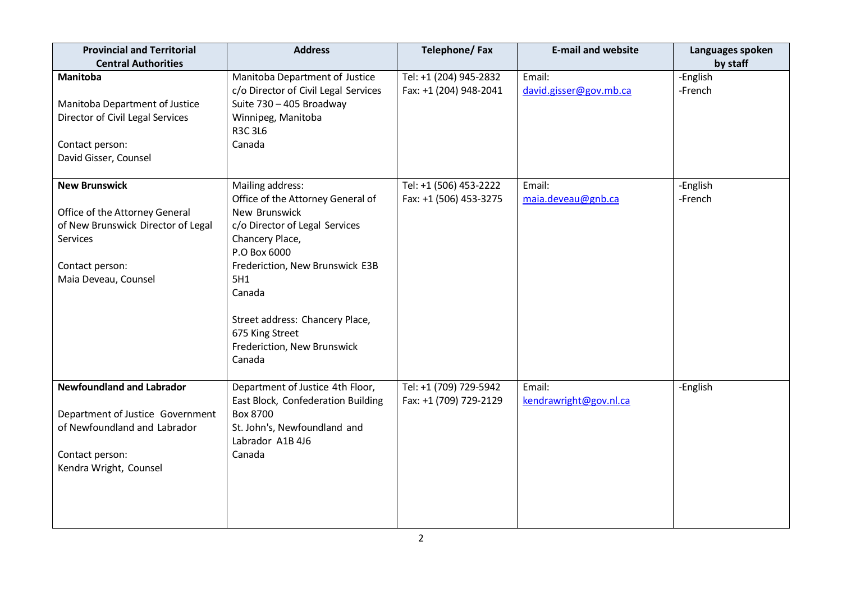| <b>Provincial and Territorial</b><br><b>Central Authorities</b>                                                                                     | <b>Address</b>                                                                                                                                                                                                                                                                                 | Telephone/Fax                                    | <b>E-mail and website</b>        | Languages spoken<br>by staff |
|-----------------------------------------------------------------------------------------------------------------------------------------------------|------------------------------------------------------------------------------------------------------------------------------------------------------------------------------------------------------------------------------------------------------------------------------------------------|--------------------------------------------------|----------------------------------|------------------------------|
| Manitoba<br>Manitoba Department of Justice<br>Director of Civil Legal Services<br>Contact person:<br>David Gisser, Counsel                          | Manitoba Department of Justice<br>c/o Director of Civil Legal Services<br>Suite 730 - 405 Broadway<br>Winnipeg, Manitoba<br><b>R3C3L6</b><br>Canada                                                                                                                                            | Tel: +1 (204) 945-2832<br>Fax: +1 (204) 948-2041 | Email:<br>david.gisser@gov.mb.ca | -English<br>-French          |
| <b>New Brunswick</b><br>Office of the Attorney General<br>of New Brunswick Director of Legal<br>Services<br>Contact person:<br>Maia Deveau, Counsel | Mailing address:<br>Office of the Attorney General of<br>New Brunswick<br>c/o Director of Legal Services<br>Chancery Place,<br>P.O Box 6000<br>Frederiction, New Brunswick E3B<br>5H1<br>Canada<br>Street address: Chancery Place,<br>675 King Street<br>Frederiction, New Brunswick<br>Canada | Tel: +1 (506) 453-2222<br>Fax: +1 (506) 453-3275 | Email:<br>maia.deveau@gnb.ca     | -English<br>-French          |
| <b>Newfoundland and Labrador</b><br>Department of Justice Government<br>of Newfoundland and Labrador<br>Contact person:<br>Kendra Wright, Counsel   | Department of Justice 4th Floor,<br>East Block, Confederation Building<br>Box 8700<br>St. John's, Newfoundland and<br>Labrador A1B 4J6<br>Canada                                                                                                                                               | Tel: +1 (709) 729-5942<br>Fax: +1 (709) 729-2129 | Email:<br>kendrawright@gov.nl.ca | -English                     |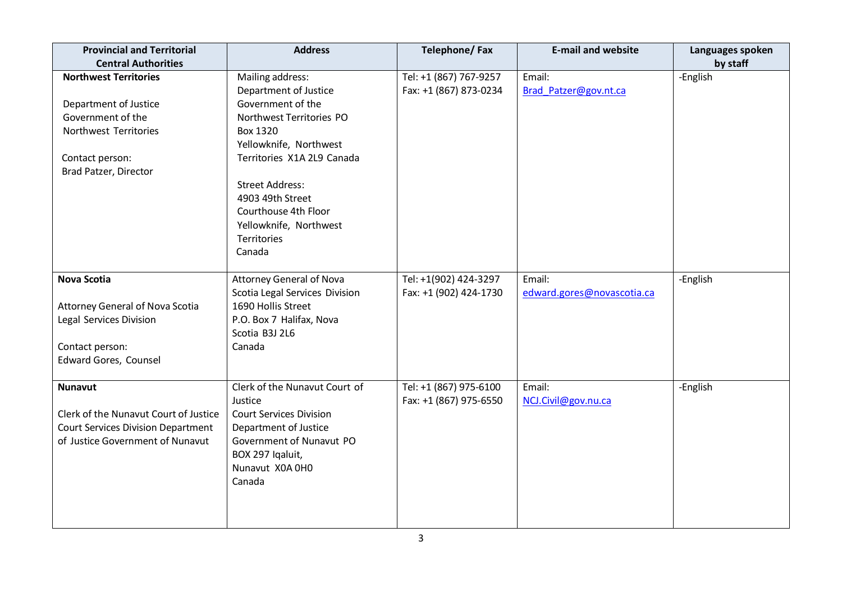| <b>Provincial and Territorial</b><br><b>Central Authorities</b>                                                                                 | <b>Address</b>                                                                                                                                                                                                                                                                                 | <b>Telephone/Fax</b>                             | <b>E-mail and website</b>            | Languages spoken<br>by staff |
|-------------------------------------------------------------------------------------------------------------------------------------------------|------------------------------------------------------------------------------------------------------------------------------------------------------------------------------------------------------------------------------------------------------------------------------------------------|--------------------------------------------------|--------------------------------------|------------------------------|
| <b>Northwest Territories</b><br>Department of Justice<br>Government of the<br>Northwest Territories<br>Contact person:<br>Brad Patzer, Director | Mailing address:<br>Department of Justice<br>Government of the<br>Northwest Territories PO<br><b>Box 1320</b><br>Yellowknife, Northwest<br>Territories X1A 2L9 Canada<br><b>Street Address:</b><br>4903 49th Street<br>Courthouse 4th Floor<br>Yellowknife, Northwest<br>Territories<br>Canada | Tel: +1 (867) 767-9257<br>Fax: +1 (867) 873-0234 | Email:<br>Brad Patzer@gov.nt.ca      | -English                     |
| <b>Nova Scotia</b><br>Attorney General of Nova Scotia<br>Legal Services Division<br>Contact person:<br><b>Edward Gores, Counsel</b>             | <b>Attorney General of Nova</b><br>Scotia Legal Services Division<br>1690 Hollis Street<br>P.O. Box 7 Halifax, Nova<br>Scotia B3J 2L6<br>Canada                                                                                                                                                | Tel: +1(902) 424-3297<br>Fax: +1 (902) 424-1730  | Email:<br>edward.gores@novascotia.ca | -English                     |
| <b>Nunavut</b><br>Clerk of the Nunavut Court of Justice<br><b>Court Services Division Department</b><br>of Justice Government of Nunavut        | Clerk of the Nunavut Court of<br>Justice<br><b>Court Services Division</b><br>Department of Justice<br>Government of Nunavut PO<br>BOX 297 Iqaluit,<br>Nunavut X0A 0H0<br>Canada                                                                                                               | Tel: +1 (867) 975-6100<br>Fax: +1 (867) 975-6550 | Email:<br>NCJ.Civil@gov.nu.ca        | -English                     |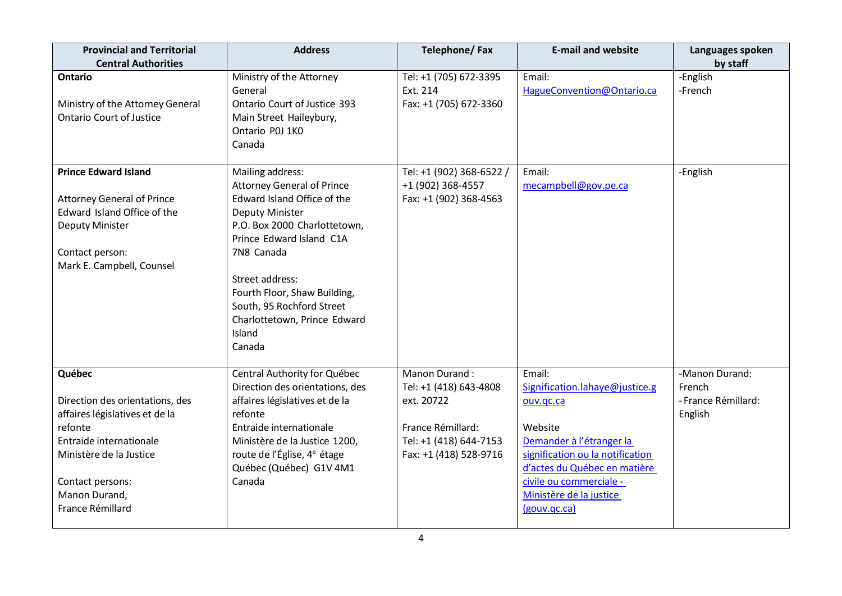| <b>Provincial and Territorial</b><br><b>Central Authorities</b>                                                                                                                                       | <b>Address</b>                                                                                                                                                                                                                                                                                                               | Telephone/Fax                                                                                                                  | <b>E-mail and website</b>                                                                                                                                                                                                              | Languages spoken<br>by staff                               |
|-------------------------------------------------------------------------------------------------------------------------------------------------------------------------------------------------------|------------------------------------------------------------------------------------------------------------------------------------------------------------------------------------------------------------------------------------------------------------------------------------------------------------------------------|--------------------------------------------------------------------------------------------------------------------------------|----------------------------------------------------------------------------------------------------------------------------------------------------------------------------------------------------------------------------------------|------------------------------------------------------------|
| <b>Ontario</b><br>Ministry of the Attorney General<br><b>Ontario Court of Justice</b>                                                                                                                 | Ministry of the Attorney<br>General<br>Ontario Court of Justice 393<br>Main Street Haileybury,<br>Ontario P0J 1K0<br>Canada                                                                                                                                                                                                  | Tel: +1 (705) 672-3395<br>Ext. 214<br>Fax: +1 (705) 672-3360                                                                   | Email:<br>HagueConvention@Ontario.ca                                                                                                                                                                                                   | -English<br>-French                                        |
| <b>Prince Edward Island</b><br><b>Attorney General of Prince</b><br>Edward Island Office of the<br>Deputy Minister<br>Contact person:<br>Mark E. Campbell, Counsel                                    | Mailing address:<br><b>Attorney General of Prince</b><br>Edward Island Office of the<br><b>Deputy Minister</b><br>P.O. Box 2000 Charlottetown,<br>Prince Edward Island C1A<br>7N8 Canada<br>Street address:<br>Fourth Floor, Shaw Building,<br>South, 95 Rochford Street<br>Charlottetown, Prince Edward<br>Island<br>Canada | Tel: +1 (902) 368-6522 /<br>+1 (902) 368-4557<br>Fax: +1 (902) 368-4563                                                        | Email:<br>mecampbell@gov.pe.ca                                                                                                                                                                                                         | -English                                                   |
| Québec<br>Direction des orientations, des<br>affaires législatives et de la<br>refonte<br>Entraide internationale<br>Ministère de la Justice<br>Contact persons:<br>Manon Durand,<br>France Rémillard | Central Authority for Québec<br>Direction des orientations, des<br>affaires législatives et de la<br>refonte<br>Entraide internationale<br>Ministère de la Justice 1200,<br>route de l'Église, 4 <sup>e</sup> étage<br>Québec (Québec) G1V 4M1<br>Canada                                                                     | Manon Durand:<br>Tel: +1 (418) 643-4808<br>ext. 20722<br>France Rémillard:<br>Tel: +1 (418) 644-7153<br>Fax: +1 (418) 528-9716 | Email:<br>Signification.lahaye@justice.g<br>ouv.gc.ca<br>Website<br>Demander à l'étranger la<br>signification ou la notification<br>d'actes du Québec en matière<br>civile ou commerciale -<br>Ministère de la justice<br>(gouv.gc.ca) | -Manon Durand:<br>French<br>- France Rémillard:<br>English |